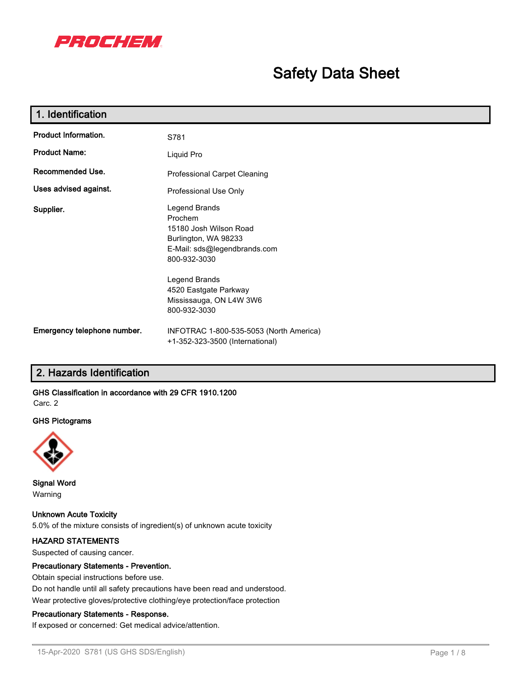

# **Safety Data Sheet**

| 1. Identification           |                                                                                                                            |
|-----------------------------|----------------------------------------------------------------------------------------------------------------------------|
| Product Information.        | S781                                                                                                                       |
| <b>Product Name:</b>        | Liquid Pro                                                                                                                 |
| Recommended Use.            | Professional Carpet Cleaning                                                                                               |
| Uses advised against.       | Professional Use Only                                                                                                      |
| Supplier.                   | Legend Brands<br>Prochem<br>15180 Josh Wilson Road<br>Burlington, WA 98233<br>E-Mail: sds@legendbrands.com<br>800-932-3030 |
|                             | Legend Brands<br>4520 Eastgate Parkway<br>Mississauga, ON L4W 3W6<br>800-932-3030                                          |
| Emergency telephone number. | INFOTRAC 1-800-535-5053 (North America)<br>+1-352-323-3500 (International)                                                 |

# **2. Hazards Identification**

# **GHS Classification in accordance with 29 CFR 1910.1200**

Carc. 2

#### **GHS Pictograms**



**Signal Word** Warning

**Unknown Acute Toxicity** 5.0% of the mixture consists of ingredient(s) of unknown acute toxicity

# **HAZARD STATEMENTS**

Suspected of causing cancer.

## **Precautionary Statements - Prevention.**

Obtain special instructions before use.

Do not handle until all safety precautions have been read and understood.

Wear protective gloves/protective clothing/eye protection/face protection

# **Precautionary Statements - Response.**

If exposed or concerned: Get medical advice/attention.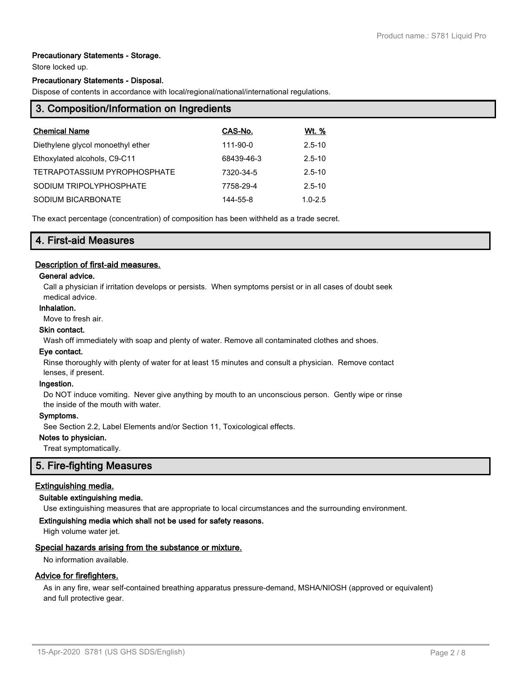# **Precautionary Statements - Storage.**

Store locked up.

#### **Precautionary Statements - Disposal.**

Dispose of contents in accordance with local/regional/national/international regulations.

| 3. Composition/Information on Ingredients |            |              |  |  |
|-------------------------------------------|------------|--------------|--|--|
| <b>Chemical Name</b>                      | CAS-No.    | <u>Wt. %</u> |  |  |
| Diethylene glycol monoethyl ether         | 111-90-0   | $2.5 - 10$   |  |  |
| Ethoxylated alcohols, C9-C11              | 68439-46-3 | $2.5 - 10$   |  |  |
| TETRAPOTASSIUM PYROPHOSPHATE              | 7320-34-5  | $2.5 - 10$   |  |  |
| SODIUM TRIPOLYPHOSPHATE                   | 7758-29-4  | $2.5 - 10$   |  |  |
| SODIUM BICARBONATE                        | 144-55-8   | $1.0 - 2.5$  |  |  |

The exact percentage (concentration) of composition has been withheld as a trade secret.

# **4. First-aid Measures**

## **Description of first-aid measures.**

#### **General advice.**

Call a physician if irritation develops or persists. When symptoms persist or in all cases of doubt seek medical advice.

#### **Inhalation.**

Move to fresh air.

# **Skin contact.**

Wash off immediately with soap and plenty of water. Remove all contaminated clothes and shoes.

# **Eye contact.**

Rinse thoroughly with plenty of water for at least 15 minutes and consult a physician. Remove contact lenses, if present.

#### **Ingestion.**

Do NOT induce vomiting. Never give anything by mouth to an unconscious person. Gently wipe or rinse the inside of the mouth with water.

#### **Symptoms.**

See Section 2.2, Label Elements and/or Section 11, Toxicological effects.

### **Notes to physician.**

Treat symptomatically.

# **5. Fire-fighting Measures**

# **Extinguishing media.**

### **Suitable extinguishing media.**

Use extinguishing measures that are appropriate to local circumstances and the surrounding environment.

### **Extinguishing media which shall not be used for safety reasons.**

High volume water jet.

#### **Special hazards arising from the substance or mixture.**

No information available.

## **Advice for firefighters.**

As in any fire, wear self-contained breathing apparatus pressure-demand, MSHA/NIOSH (approved or equivalent) and full protective gear.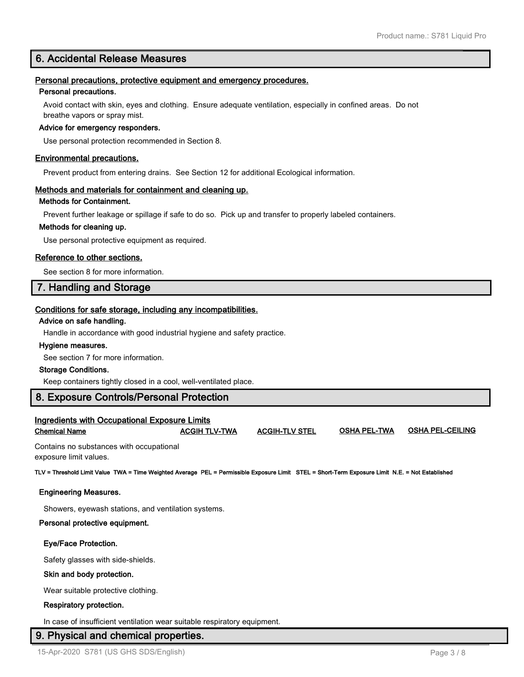# **6. Accidental Release Measures**

#### **Personal precautions, protective equipment and emergency procedures.**

#### **Personal precautions.**

Avoid contact with skin, eyes and clothing. Ensure adequate ventilation, especially in confined areas. Do not breathe vapors or spray mist.

#### **Advice for emergency responders.**

Use personal protection recommended in Section 8.

#### **Environmental precautions.**

Prevent product from entering drains. See Section 12 for additional Ecological information.

#### **Methods and materials for containment and cleaning up.**

## **Methods for Containment.**

Prevent further leakage or spillage if safe to do so. Pick up and transfer to properly labeled containers.

#### **Methods for cleaning up.**

Use personal protective equipment as required.

#### **Reference to other sections.**

See section 8 for more information.

# **7. Handling and Storage**

# **Conditions for safe storage, including any incompatibilities.**

#### **Advice on safe handling.**

Handle in accordance with good industrial hygiene and safety practice.

#### **Hygiene measures.**

See section 7 for more information.

#### **Storage Conditions.**

Keep containers tightly closed in a cool, well-ventilated place.

## **8. Exposure Controls/Personal Protection**

## **Ingredients with Occupational Exposure Limits**

|  | <b>Chemical Name</b> |  |
|--|----------------------|--|
|--|----------------------|--|

**Chemical Name ACGIH TLV-TWA ACGIH-TLV STEL OSHA PEL-TWA OSHA PEL-CEILING**

Contains no substances with occupational exposure limit values.

**TLV = Threshold Limit Value TWA = Time Weighted Average PEL = Permissible Exposure Limit STEL = Short-Term Exposure Limit N.E. = Not Established**

# **Engineering Measures.**

Showers, eyewash stations, and ventilation systems.

## **Personal protective equipment.**

# **Eye/Face Protection.**

Safety glasses with side-shields.

## **Skin and body protection.**

Wear suitable protective clothing.

# **Respiratory protection.**

In case of insufficient ventilation wear suitable respiratory equipment.

# **9. Physical and chemical properties.**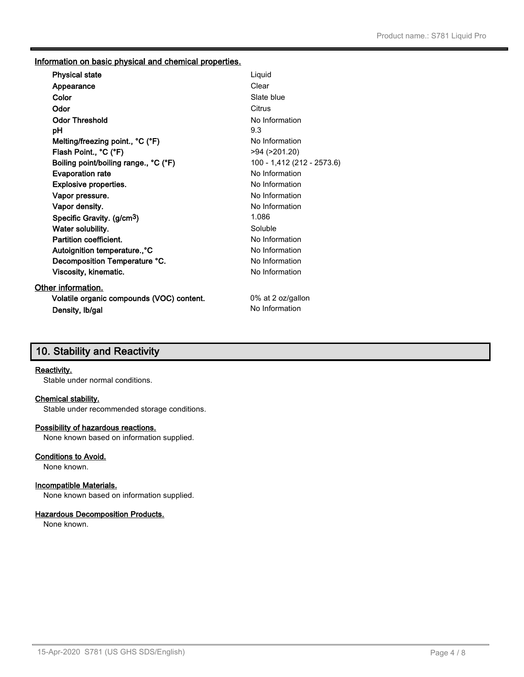# **Information on basic physical and chemical properties.**

| <b>Physical state</b>                     | Liquid                     |
|-------------------------------------------|----------------------------|
| Appearance                                | Clear                      |
| Color                                     | Slate blue                 |
| Odor                                      | Citrus                     |
| <b>Odor Threshold</b>                     | No Information             |
| рH                                        | 9.3                        |
| Melting/freezing point., °C (°F)          | No Information             |
| Flash Point., °C (°F)                     | >94 (>201.20)              |
| Boiling point/boiling range., °C (°F)     | 100 - 1,412 (212 - 2573.6) |
| <b>Evaporation rate</b>                   | No Information             |
| <b>Explosive properties.</b>              | No Information             |
| Vapor pressure.                           | No Information             |
| Vapor density.                            | No Information             |
| Specific Gravity. (g/cm <sup>3</sup> )    | 1.086                      |
| Water solubility.                         | Soluble                    |
| Partition coefficient.                    | No Information             |
| Autoignition temperature., °C             | No Information             |
| Decomposition Temperature °C.             | No Information             |
| Viscosity, kinematic.                     | No Information             |
| <b>Other information.</b>                 |                            |
| Volatile organic compounds (VOC) content. | 0% at 2 oz/gallon          |
| Density, Ib/gal                           | No Information             |
|                                           |                            |

# **10. Stability and Reactivity**

#### **Reactivity.**

Stable under normal conditions.

#### **Chemical stability.**

Stable under recommended storage conditions.

# **Possibility of hazardous reactions.**

None known based on information supplied.

# **Conditions to Avoid.**

None known.

# **Incompatible Materials.**

None known based on information supplied.

# **Hazardous Decomposition Products.**

None known.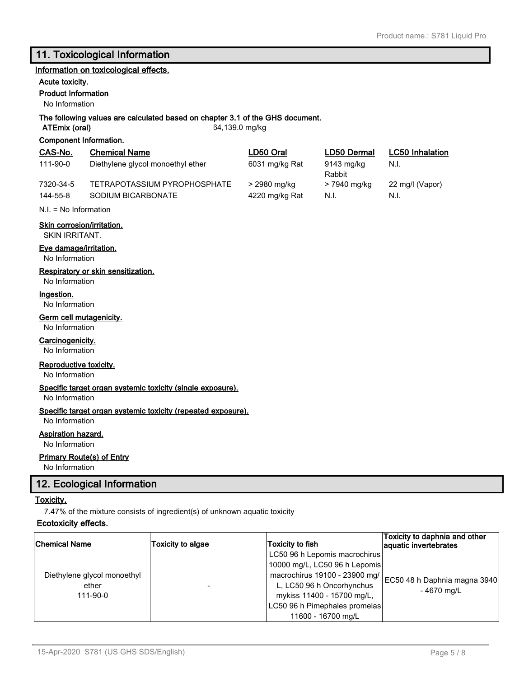# **11. Toxicological Information**

#### **Information on toxicological effects.**

# **Acute toxicity.**

**Product Information**

No Information

# **The following values are calculated based on chapter 3.1 of the GHS document.**

**Component Information.**

**ATEmix (oral)** 64,139.0 mg/kg

| CAS-No.               | <b>Chemical Name</b>                               | LD50 Oral                      | LD50 Dermal          | <b>LC50</b> Inhalation  |
|-----------------------|----------------------------------------------------|--------------------------------|----------------------|-------------------------|
| 111-90-0              | Diethylene glycol monoethyl ether                  | 6031 mg/kg Rat                 | 9143 mg/kg<br>Rabbit | N.I.                    |
| 7320-34-5<br>144-55-8 | TETRAPOTASSIUM PYROPHOSPHATE<br>SODIUM BICARBONATE | > 2980 mg/kg<br>4220 mg/kg Rat | > 7940 mg/kg<br>N.I. | 22 mg/l (Vapor)<br>N.I. |

N.I. = No Information

# **Skin corrosion/irritation.**

SKIN IRRITANT.

### **Eye damage/irritation.**

No Information

# **Respiratory or skin sensitization.**

No Information

#### **Ingestion.**

No Information

#### **Germ cell mutagenicity.**

No Information

### **Carcinogenicity.**

No Information

# **Reproductive toxicity.**

No Information

#### **Specific target organ systemic toxicity (single exposure).**

No Information

#### **Specific target organ systemic toxicity (repeated exposure).**

No Information

# **Aspiration hazard.**

No Information

#### **Primary Route(s) of Entry**

No Information

# **12. Ecological Information**

# **Toxicity.**

7.47% of the mixture consists of ingredient(s) of unknown aquatic toxicity

# **Ecotoxicity effects.**

| <b>Chemical Name</b>        | Toxicity to algae | Toxicity to fish              | Toxicity to daphnia and other<br>aquatic invertebrates |
|-----------------------------|-------------------|-------------------------------|--------------------------------------------------------|
|                             |                   | LC50 96 h Lepomis macrochirus |                                                        |
|                             |                   | 10000 mg/L, LC50 96 h Lepomis |                                                        |
| Diethylene glycol monoethyl |                   | macrochirus 19100 - 23900 mg/ |                                                        |
| ether                       |                   | L, LC50 96 h Oncorhynchus     | EC50 48 h Daphnia magna 3940                           |
| $111 - 90 - 0$              |                   | mykiss 11400 - 15700 mg/L,    | - 4670 mg/L                                            |
|                             |                   | LC50 96 h Pimephales promelas |                                                        |
|                             |                   | 11600 - 16700 mg/L            |                                                        |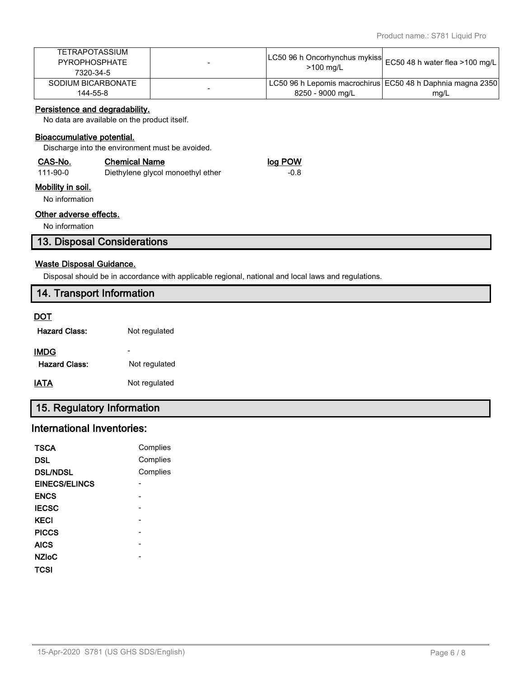| 144-55-8              | 8250 - 9000 ma/L                                              | mg/L                                                                    |
|-----------------------|---------------------------------------------------------------|-------------------------------------------------------------------------|
| SODIUM BICARBONATE    |                                                               | <sup>1</sup> LC50 96 h Lepomis macrochirus EC50 48 h Daphnia magna 2350 |
| 7320-34-5             | $>100$ mg/L                                                   |                                                                         |
| <b>PYROPHOSPHATE</b>  | LC50 96 h Oncorhynchus mykiss  EC50 48 h water flea >100 mg/l |                                                                         |
| <b>TETRAPOTASSIUM</b> |                                                               |                                                                         |

# **Persistence and degradability.**

No data are available on the product itself.

## **Bioaccumulative potential.**

Discharge into the environment must be avoided.

| CAS-No.  | <b>Chemical Name</b>              | log POW |
|----------|-----------------------------------|---------|
| 111-90-0 | Diethylene glycol monoethyl ether | -0.8    |

# **Mobility in soil.**

No information

# **Other adverse effects.**

No information

# **13. Disposal Considerations**

## **Waste Disposal Guidance.**

Disposal should be in accordance with applicable regional, national and local laws and regulations.

| 14. Transport Information |                          |  |
|---------------------------|--------------------------|--|
| <u>DOT</u>                |                          |  |
| <b>Hazard Class:</b>      | Not regulated            |  |
| <b>IMDG</b>               | $\overline{\phantom{a}}$ |  |
| <b>Hazard Class:</b>      | Not regulated            |  |
| <b>IATA</b>               | Not regulated            |  |

# **15. Regulatory Information**

# **International Inventories:**

| TSCA                 | Complies |
|----------------------|----------|
| <b>DSL</b>           | Complies |
| <b>DSL/NDSL</b>      | Complies |
| <b>EINECS/ELINCS</b> |          |
| <b>ENCS</b>          |          |
| <b>IECSC</b>         |          |
| <b>KECI</b>          |          |
| <b>PICCS</b>         |          |
| <b>AICS</b>          |          |
| <b>NZIoC</b>         |          |
| TCSI                 |          |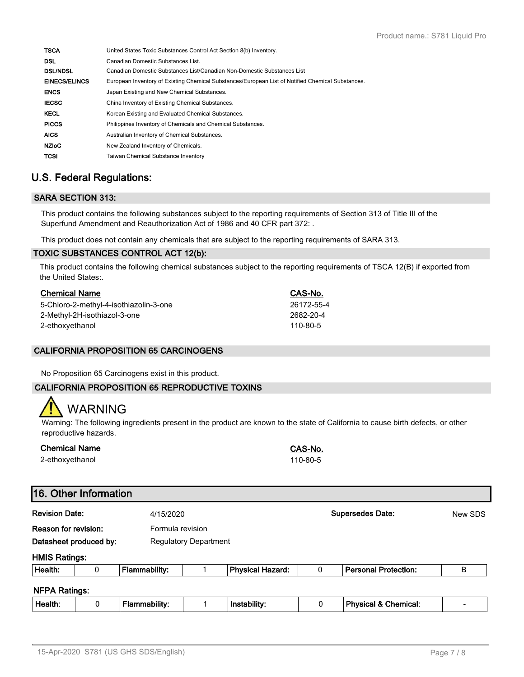| United States Toxic Substances Control Act Section 8(b) Inventory.                                |
|---------------------------------------------------------------------------------------------------|
| Canadian Domestic Substances List.                                                                |
| Canadian Domestic Substances List/Canadian Non-Domestic Substances List                           |
| European Inventory of Existing Chemical Substances/European List of Notified Chemical Substances. |
| Japan Existing and New Chemical Substances.                                                       |
| China Inventory of Existing Chemical Substances.                                                  |
| Korean Existing and Evaluated Chemical Substances.                                                |
| Philippines Inventory of Chemicals and Chemical Substances.                                       |
| Australian Inventory of Chemical Substances.                                                      |
| New Zealand Inventory of Chemicals.                                                               |
| <b>Taiwan Chemical Substance Inventory</b>                                                        |
|                                                                                                   |

# **U.S. Federal Regulations:**

# **SARA SECTION 313:**

This product contains the following substances subject to the reporting requirements of Section 313 of Title III of the Superfund Amendment and Reauthorization Act of 1986 and 40 CFR part 372: .

This product does not contain any chemicals that are subject to the reporting requirements of SARA 313.

# **TOXIC SUBSTANCES CONTROL ACT 12(b):**

This product contains the following chemical substances subject to the reporting requirements of TSCA 12(B) if exported from the United States:.

| <b>Chemical Name</b>                   | CAS-No.    |
|----------------------------------------|------------|
| 5-Chloro-2-methyl-4-isothiazolin-3-one | 26172-55-4 |
| 2-Methyl-2H-isothiazol-3-one           | 2682-20-4  |
| 2-ethoxyethanol                        | 110-80-5   |

# **CALIFORNIA PROPOSITION 65 CARCINOGENS**

No Proposition 65 Carcinogens exist in this product.

# **CALIFORNIA PROPOSITION 65 REPRODUCTIVE TOXINS**

# WARNING

Warning: The following ingredients present in the product are known to the state of California to cause birth defects, or other reproductive hazards.

| <b>Chemical Name</b> | CAS-No.  |
|----------------------|----------|
| 2-ethoxyethanol      | 110-80-5 |

# **16. Other Information**

| <b>Revision Date:</b><br>Reason for revision:<br>Datasheet produced by: |   |                                                  | 4/15/2020 |                         |   | <b>Supersedes Date:</b>         | New SDS         |
|-------------------------------------------------------------------------|---|--------------------------------------------------|-----------|-------------------------|---|---------------------------------|-----------------|
|                                                                         |   | Formula revision<br><b>Regulatory Department</b> |           |                         |   |                                 |                 |
| <b>HMIS Ratings:</b><br>Health:                                         | 0 | Flammability:                                    |           | <b>Physical Hazard:</b> | 0 | <b>Personal Protection:</b>     | B               |
| <b>NFPA Ratings:</b>                                                    |   |                                                  |           |                         |   |                                 |                 |
| Health:                                                                 | 0 | Flammability:                                    |           | Instability:            |   | <b>Physical &amp; Chemical:</b> | $\qquad \qquad$ |